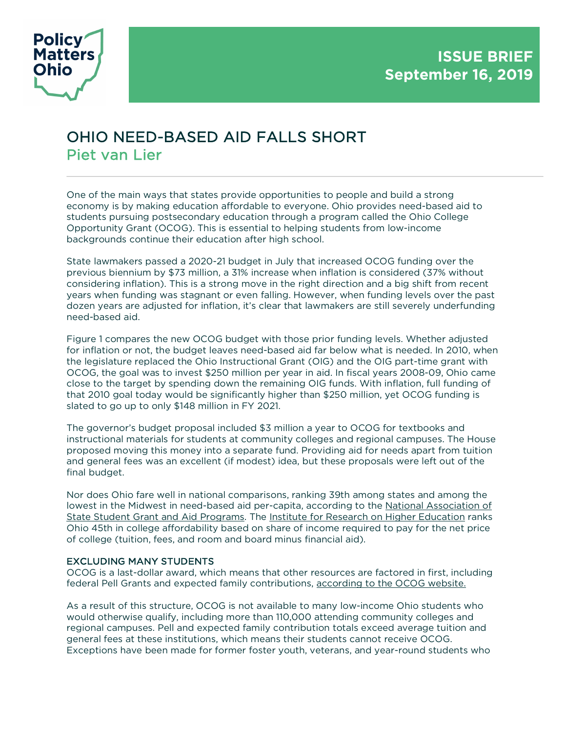

## OHIO NEED-BASED AID FALLS SHORT Piet van Lier

One of the main ways that states provide opportunities to people and build a strong economy is by making education affordable to everyone. Ohio provides need-based aid to students pursuing postsecondary education through a program called the Ohio College Opportunity Grant (OCOG). This is essential to helping students from low-income backgrounds continue their education after high school.

State lawmakers passed a 2020-21 budget in July that increased OCOG funding over the previous biennium by \$73 million, a 31% increase when inflation is considered (37% without considering inflation). This is a strong move in the right direction and a big shift from recent years when funding was stagnant or even falling. However, when funding levels over the past dozen years are adjusted for inflation, it's clear that lawmakers are still severely underfunding need-based aid.

Figure 1 compares the new OCOG budget with those prior funding levels. Whether adjusted for inflation or not, the budget leaves need-based aid far below what is needed. In 2010, when the legislature replaced the Ohio Instructional Grant (OIG) and the OIG part-time grant with OCOG, the goal was to invest \$250 million per year in aid. In fiscal years 2008-09, Ohio came close to the target by spending down the remaining OIG funds. With inflation, full funding of that 2010 goal today would be significantly higher than \$250 million, yet OCOG funding is slated to go up to only \$148 million in FY 2021.

The governor's budget proposal included \$3 million a year to OCOG for textbooks and instructional materials for students at community colleges and regional campuses. The House proposed moving this money into a separate fund. Providing aid for needs apart from tuition and general fees was an excellent (if modest) idea, but these proposals were left out of the final budget.

Nor does Ohio fare well in national comparisons, ranking 39th among states and among the lowest in the Midwest in need-based aid per-capita, according to the National Association of State Student Grant and Aid Programs. The Institute for Research on Higher Education ranks Ohio 45th in college affordability based on share of income required to pay for the net price of college (tuition, fees, and room and board minus financial aid).

## EXCLUDING MANY STUDENTS

OCOG is a last-dollar award, which means that other resources are factored in first, including federal Pell Grants and expected family contributions, according to the OCOG website.

As a result of this structure, OCOG is not available to many low-income Ohio students who would otherwise qualify, including more than 110,000 attending community colleges and regional campuses. Pell and expected family contribution totals exceed average tuition and general fees at these institutions, which means their students cannot receive OCOG. Exceptions have been made for former foster youth, veterans, and year-round students who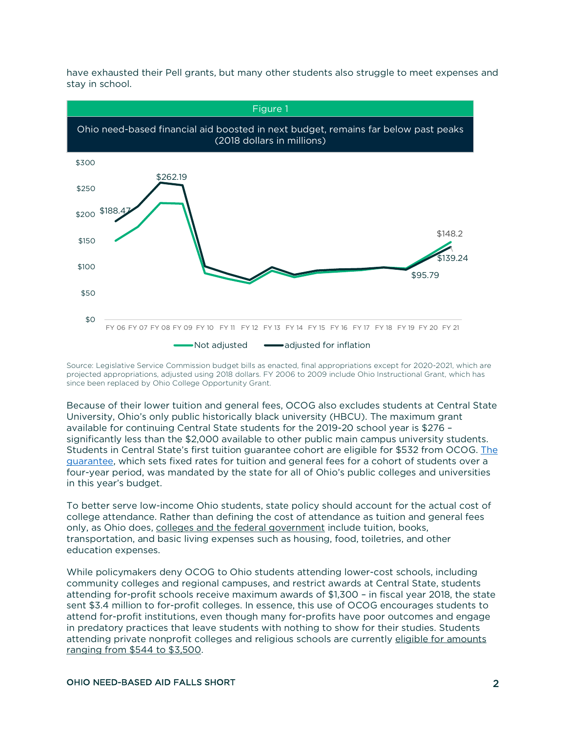

have exhausted their Pell grants, but many other students also struggle to meet expenses and stay in school.

Source: Legislative Service Commission budget bills as enacted, final appropriations except for 2020-2021, which are projected appropriations, adjusted using 2018 dollars. FY 2006 to 2009 include Ohio Instructional Grant, which has since been replaced by Ohio College Opportunity Grant.

Because of their lower tuition and general fees, OCOG also excludes students at Central State University, Ohio's only public historically black university (HBCU). The maximum grant available for continuing Central State students for the 2019-20 school year is \$276 – significantly less than the \$2,000 available to other public main campus university students. Students in Central State's first tuition guarantee cohort are eligible for \$532 from OCOG. The guarantee, which sets fixed rates for tuition and general fees for a cohort of students over a four-year period, was mandated by the state for all of Ohio's public colleges and universities in this year's budget.

To better serve low-income Ohio students, state policy should account for the actual cost of college attendance. Rather than defining the cost of attendance as tuition and general fees only, as Ohio does, colleges and the federal government include tuition, books, transportation, and basic living expenses such as housing, food, toiletries, and other education expenses.

While policymakers deny OCOG to Ohio students attending lower-cost schools, including community colleges and regional campuses, and restrict awards at Central State, students attending for-profit schools receive maximum awards of \$1,300 – in fiscal year 2018, the state sent \$3.4 million to for-profit colleges. In essence, this use of OCOG encourages students to attend for-profit institutions, even though many for-profits have poor outcomes and engage in predatory practices that leave students with nothing to show for their studies. Students attending private nonprofit colleges and religious schools are currently eligible for amounts ranging from \$544 to \$3,500.